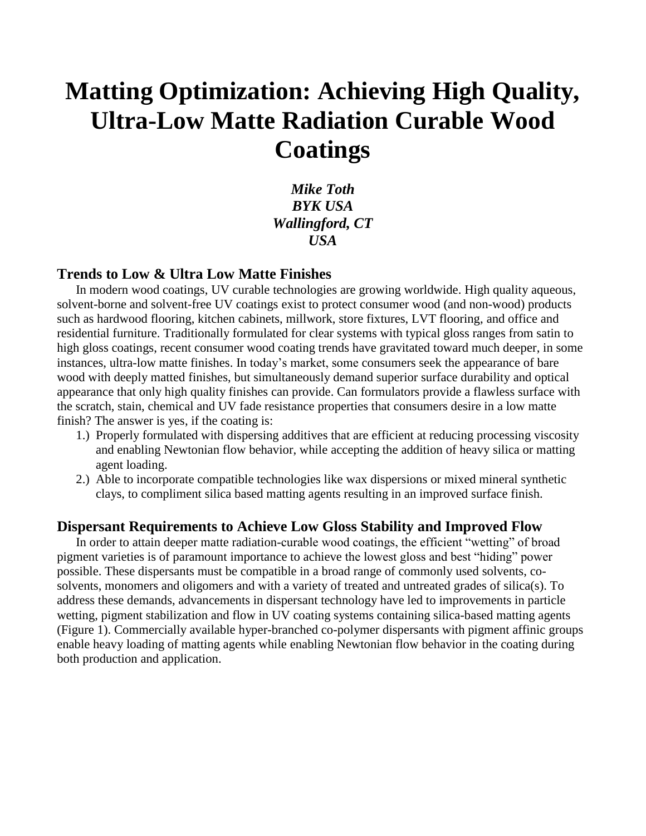# **Matting Optimization: Achieving High Quality, Ultra-Low Matte Radiation Curable Wood Coatings**

*Mike Toth BYK USA Wallingford, CT USA*

#### **Trends to Low & Ultra Low Matte Finishes**

In modern wood coatings, UV curable technologies are growing worldwide. High quality aqueous, solvent-borne and solvent-free UV coatings exist to protect consumer wood (and non-wood) products such as hardwood flooring, kitchen cabinets, millwork, store fixtures, LVT flooring, and office and residential furniture. Traditionally formulated for clear systems with typical gloss ranges from satin to high gloss coatings, recent consumer wood coating trends have gravitated toward much deeper, in some instances, ultra-low matte finishes. In today's market, some consumers seek the appearance of bare wood with deeply matted finishes, but simultaneously demand superior surface durability and optical appearance that only high quality finishes can provide. Can formulators provide a flawless surface with the scratch, stain, chemical and UV fade resistance properties that consumers desire in a low matte finish? The answer is yes, if the coating is:

- 1.) Properly formulated with dispersing additives that are efficient at reducing processing viscosity and enabling Newtonian flow behavior, while accepting the addition of heavy silica or matting agent loading.
- 2.) Able to incorporate compatible technologies like wax dispersions or mixed mineral synthetic clays, to compliment silica based matting agents resulting in an improved surface finish.

#### **Dispersant Requirements to Achieve Low Gloss Stability and Improved Flow**

In order to attain deeper matte radiation-curable wood coatings, the efficient "wetting" of broad pigment varieties is of paramount importance to achieve the lowest gloss and best "hiding" power possible. These dispersants must be compatible in a broad range of commonly used solvents, cosolvents, monomers and oligomers and with a variety of treated and untreated grades of silica(s). To address these demands, advancements in dispersant technology have led to improvements in particle wetting, pigment stabilization and flow in UV coating systems containing silica-based matting agents (Figure 1). Commercially available hyper-branched co-polymer dispersants with pigment affinic groups enable heavy loading of matting agents while enabling Newtonian flow behavior in the coating during both production and application.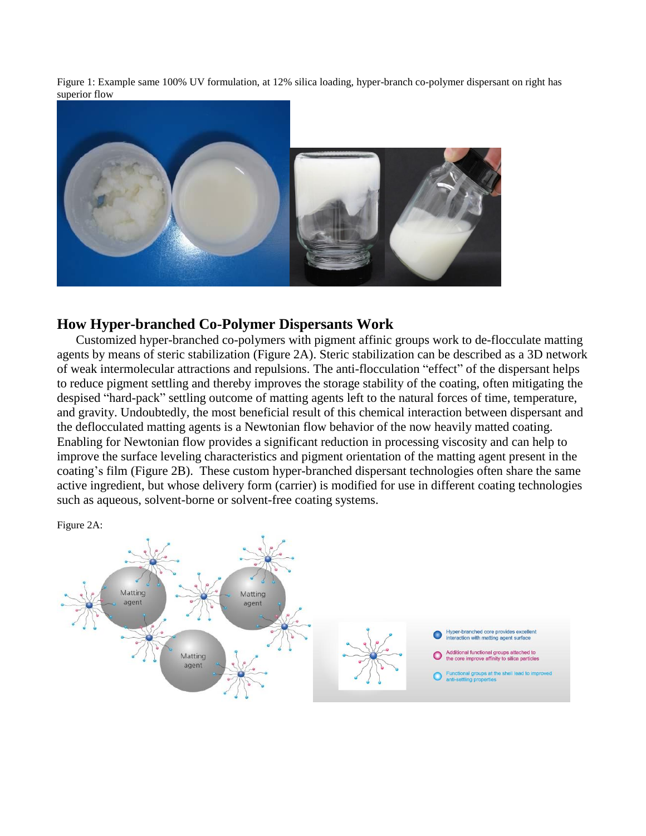Figure 1: Example same 100% UV formulation, at 12% silica loading, hyper-branch co-polymer dispersant on right has superior flow



# **How Hyper-branched Co-Polymer Dispersants Work**

Customized hyper-branched co-polymers with pigment affinic groups work to de-flocculate matting agents by means of steric stabilization (Figure 2A). Steric stabilization can be described as a 3D network of weak intermolecular attractions and repulsions. The anti-flocculation "effect" of the dispersant helps to reduce pigment settling and thereby improves the storage stability of the coating, often mitigating the despised "hard-pack" settling outcome of matting agents left to the natural forces of time, temperature, and gravity. Undoubtedly, the most beneficial result of this chemical interaction between dispersant and the deflocculated matting agents is a Newtonian flow behavior of the now heavily matted coating. Enabling for Newtonian flow provides a significant reduction in processing viscosity and can help to improve the surface leveling characteristics and pigment orientation of the matting agent present in the coating's film (Figure 2B). These custom hyper-branched dispersant technologies often share the same active ingredient, but whose delivery form (carrier) is modified for use in different coating technologies such as aqueous, solvent-borne or solvent-free coating systems.

Figure 2A:

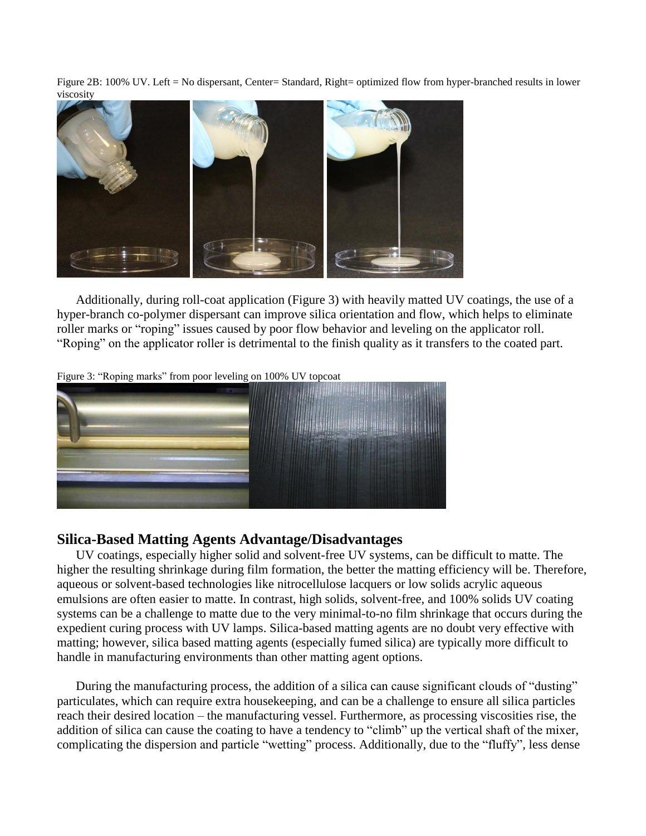Figure 2B: 100% UV. Left = No dispersant, Center= Standard, Right= optimized flow from hyper-branched results in lower viscosity



Additionally, during roll-coat application (Figure 3) with heavily matted UV coatings, the use of a hyper-branch co-polymer dispersant can improve silica orientation and flow, which helps to eliminate roller marks or "roping" issues caused by poor flow behavior and leveling on the applicator roll. "Roping" on the applicator roller is detrimental to the finish quality as it transfers to the coated part.

Figure 3: "Roping marks" from poor leveling on 100% UV topcoat



#### **Silica-Based Matting Agents Advantage/Disadvantages**

UV coatings, especially higher solid and solvent-free UV systems, can be difficult to matte. The higher the resulting shrinkage during film formation, the better the matting efficiency will be. Therefore, aqueous or solvent-based technologies like nitrocellulose lacquers or low solids acrylic aqueous emulsions are often easier to matte. In contrast, high solids, solvent-free, and 100% solids UV coating systems can be a challenge to matte due to the very minimal-to-no film shrinkage that occurs during the expedient curing process with UV lamps. Silica-based matting agents are no doubt very effective with matting; however, silica based matting agents (especially fumed silica) are typically more difficult to handle in manufacturing environments than other matting agent options.

During the manufacturing process, the addition of a silica can cause significant clouds of "dusting" particulates, which can require extra housekeeping, and can be a challenge to ensure all silica particles reach their desired location – the manufacturing vessel. Furthermore, as processing viscosities rise, the addition of silica can cause the coating to have a tendency to "climb" up the vertical shaft of the mixer, complicating the dispersion and particle "wetting" process. Additionally, due to the "fluffy", less dense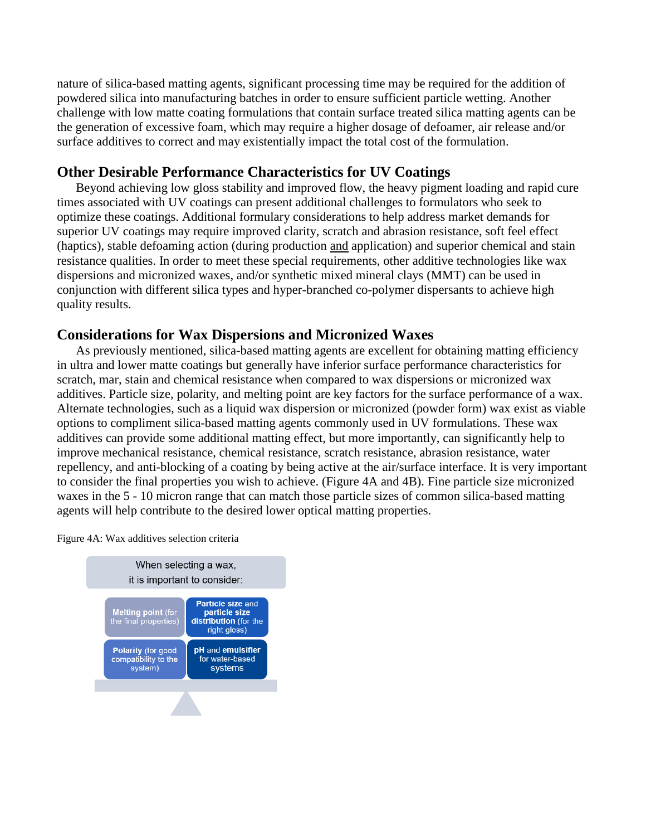nature of silica-based matting agents, significant processing time may be required for the addition of powdered silica into manufacturing batches in order to ensure sufficient particle wetting. Another challenge with low matte coating formulations that contain surface treated silica matting agents can be the generation of excessive foam, which may require a higher dosage of defoamer, air release and/or surface additives to correct and may existentially impact the total cost of the formulation.

## **Other Desirable Performance Characteristics for UV Coatings**

Beyond achieving low gloss stability and improved flow, the heavy pigment loading and rapid cure times associated with UV coatings can present additional challenges to formulators who seek to optimize these coatings. Additional formulary considerations to help address market demands for superior UV coatings may require improved clarity, scratch and abrasion resistance, soft feel effect (haptics), stable defoaming action (during production and application) and superior chemical and stain resistance qualities. In order to meet these special requirements, other additive technologies like wax dispersions and micronized waxes, and/or synthetic mixed mineral clays (MMT) can be used in conjunction with different silica types and hyper-branched co-polymer dispersants to achieve high quality results.

## **Considerations for Wax Dispersions and Micronized Waxes**

As previously mentioned, silica-based matting agents are excellent for obtaining matting efficiency in ultra and lower matte coatings but generally have inferior surface performance characteristics for scratch, mar, stain and chemical resistance when compared to wax dispersions or micronized wax additives. Particle size, polarity, and melting point are key factors for the surface performance of a wax. Alternate technologies, such as a liquid wax dispersion or micronized (powder form) wax exist as viable options to compliment silica-based matting agents commonly used in UV formulations. These wax additives can provide some additional matting effect, but more importantly, can significantly help to improve mechanical resistance, chemical resistance, scratch resistance, abrasion resistance, water repellency, and anti-blocking of a coating by being active at the air/surface interface. It is very important to consider the final properties you wish to achieve. (Figure 4A and 4B). Fine particle size micronized waxes in the 5 - 10 micron range that can match those particle sizes of common silica-based matting agents will help contribute to the desired lower optical matting properties.



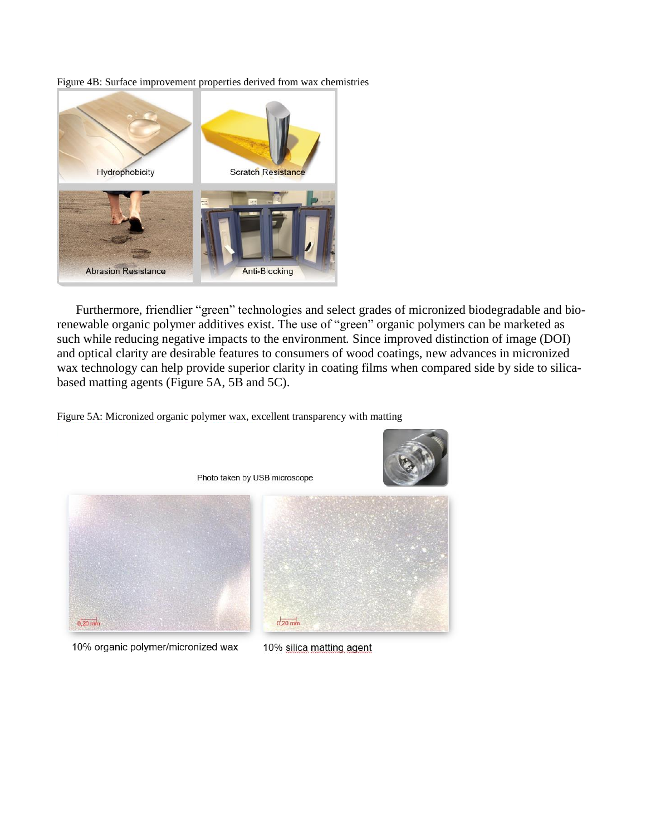Figure 4B: Surface improvement properties derived from wax chemistries



Furthermore, friendlier "green" technologies and select grades of micronized biodegradable and biorenewable organic polymer additives exist. The use of "green" organic polymers can be marketed as such while reducing negative impacts to the environment*.* Since improved distinction of image (DOI) and optical clarity are desirable features to consumers of wood coatings, new advances in micronized wax technology can help provide superior clarity in coating films when compared side by side to silicabased matting agents (Figure 5A, 5B and 5C).

Figure 5A: Micronized organic polymer wax, excellent transparency with matting



10% organic polymer/micronized wax

10% silica matting agent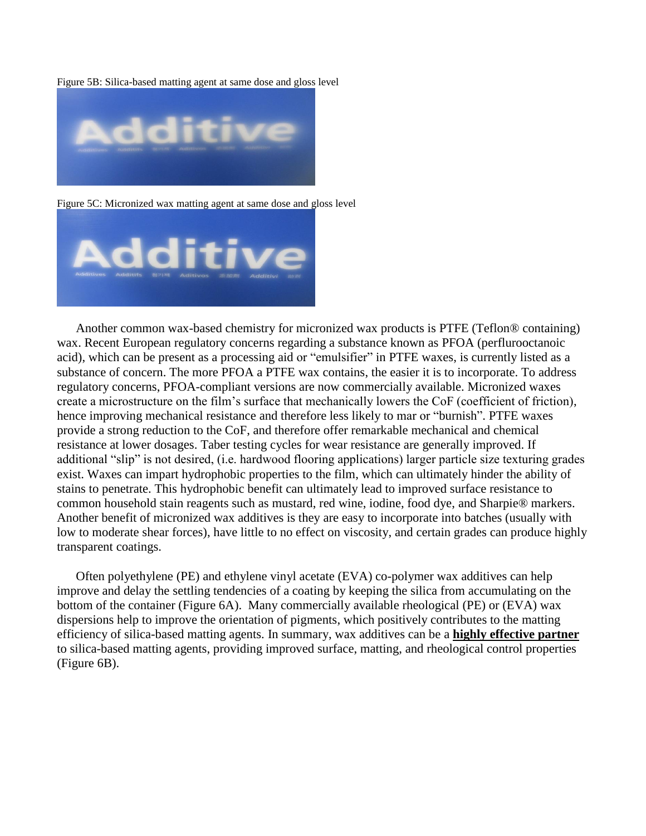Figure 5B: Silica-based matting agent at same dose and gloss level



Figure 5C: Micronized wax matting agent at same dose and gloss level



Another common wax-based chemistry for micronized wax products is PTFE (Teflon® containing) wax. Recent European regulatory concerns regarding a substance known as PFOA (perflurooctanoic acid), which can be present as a processing aid or "emulsifier" in PTFE waxes, is currently listed as a substance of concern. The more PFOA a PTFE wax contains, the easier it is to incorporate. To address regulatory concerns, PFOA-compliant versions are now commercially available. Micronized waxes create a microstructure on the film's surface that mechanically lowers the CoF (coefficient of friction), hence improving mechanical resistance and therefore less likely to mar or "burnish". PTFE waxes provide a strong reduction to the CoF, and therefore offer remarkable mechanical and chemical resistance at lower dosages. Taber testing cycles for wear resistance are generally improved. If additional "slip" is not desired, (i.e. hardwood flooring applications) larger particle size texturing grades exist. Waxes can impart hydrophobic properties to the film, which can ultimately hinder the ability of stains to penetrate. This hydrophobic benefit can ultimately lead to improved surface resistance to common household stain reagents such as mustard, red wine, iodine, food dye, and Sharpie® markers. Another benefit of micronized wax additives is they are easy to incorporate into batches (usually with low to moderate shear forces), have little to no effect on viscosity, and certain grades can produce highly transparent coatings.

Often polyethylene (PE) and ethylene vinyl acetate (EVA) co-polymer wax additives can help improve and delay the settling tendencies of a coating by keeping the silica from accumulating on the bottom of the container (Figure 6A). Many commercially available rheological (PE) or (EVA) wax dispersions help to improve the orientation of pigments, which positively contributes to the matting efficiency of silica-based matting agents. In summary, wax additives can be a **highly effective partner** to silica-based matting agents, providing improved surface, matting, and rheological control properties (Figure 6B).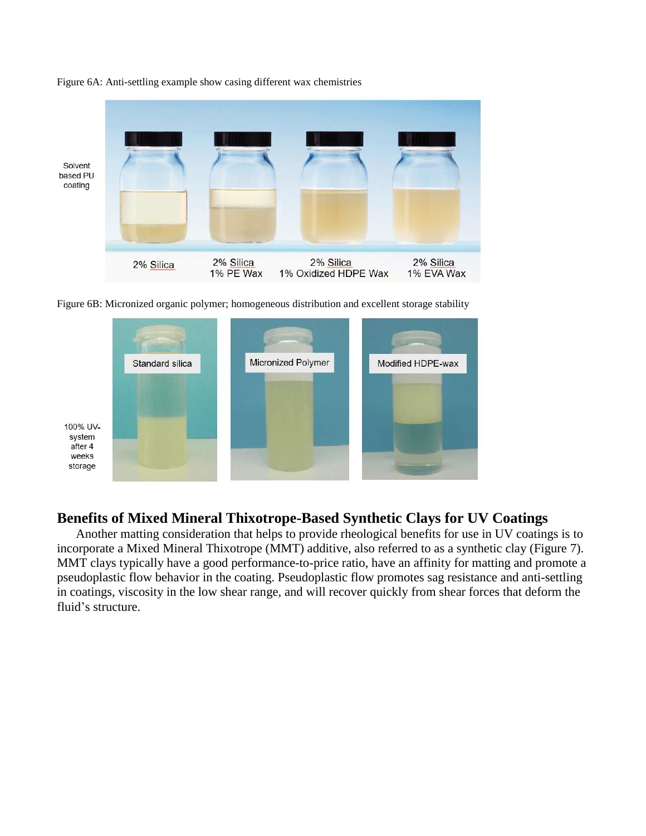

Figure 6A: Anti-settling example show casing different wax chemistries

Figure 6B: Micronized organic polymer; homogeneous distribution and excellent storage stability



# **Benefits of Mixed Mineral Thixotrope-Based Synthetic Clays for UV Coatings**

Another matting consideration that helps to provide rheological benefits for use in UV coatings is to incorporate a Mixed Mineral Thixotrope (MMT) additive, also referred to as a synthetic clay (Figure 7). MMT clays typically have a good performance-to-price ratio, have an affinity for matting and promote a pseudoplastic flow behavior in the coating. Pseudoplastic flow promotes sag resistance and anti-settling in coatings, viscosity in the low shear range, and will recover quickly from shear forces that deform the fluid's structure.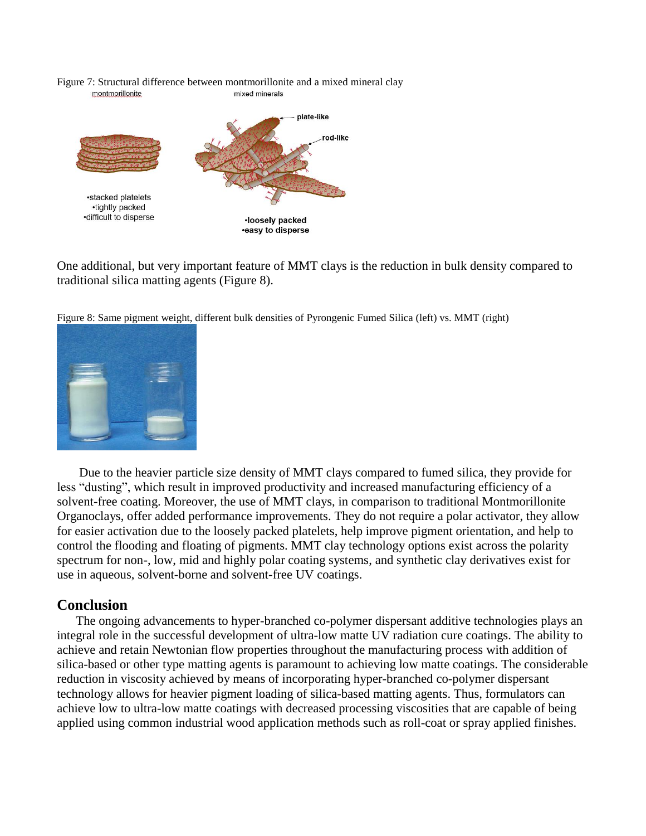Figure 7: Structural difference between montmorillonite and a mixed mineral clay montmorillonite mixed minerals



One additional, but very important feature of MMT clays is the reduction in bulk density compared to traditional silica matting agents (Figure 8).

Figure 8: Same pigment weight, different bulk densities of Pyrongenic Fumed Silica (left) vs. MMT (right)



Due to the heavier particle size density of MMT clays compared to fumed silica, they provide for less "dusting", which result in improved productivity and increased manufacturing efficiency of a solvent-free coating. Moreover, the use of MMT clays, in comparison to traditional Montmorillonite Organoclays, offer added performance improvements. They do not require a polar activator, they allow for easier activation due to the loosely packed platelets, help improve pigment orientation, and help to control the flooding and floating of pigments. MMT clay technology options exist across the polarity spectrum for non-, low, mid and highly polar coating systems, and synthetic clay derivatives exist for use in aqueous, solvent-borne and solvent-free UV coatings.

#### **Conclusion**

The ongoing advancements to hyper-branched co-polymer dispersant additive technologies plays an integral role in the successful development of ultra-low matte UV radiation cure coatings. The ability to achieve and retain Newtonian flow properties throughout the manufacturing process with addition of silica-based or other type matting agents is paramount to achieving low matte coatings. The considerable reduction in viscosity achieved by means of incorporating hyper-branched co-polymer dispersant technology allows for heavier pigment loading of silica-based matting agents. Thus, formulators can achieve low to ultra-low matte coatings with decreased processing viscosities that are capable of being applied using common industrial wood application methods such as roll-coat or spray applied finishes.